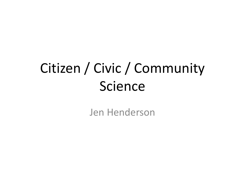# Citizen / Civic / Community Science

Jen Henderson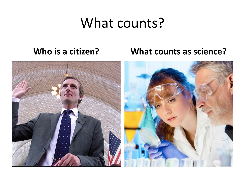### What counts?

### **Who is a citizen? What counts as science?**

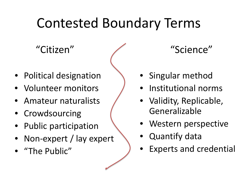### Contested Boundary Terms

"Citizen"

- Political designation
- Volunteer monitors
- Amateur naturalists
- Crowdsourcing
- Public participation
- Non-expert / lay expert
- "The Public"

"Science"

- Singular method
- Institutional norms
- Validity, Replicable, Generalizable
- Western perspective
- Quantify data
- Experts and credential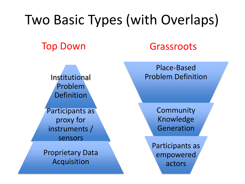### Two Basic Types (with Overlaps) Top Down Grassroots Institutional Problem Definition Participants as proxy for instruments / sensors Proprietary Data Acquisition Place-Based Problem Definition **Community** Knowledge Generation Participants as empowered actors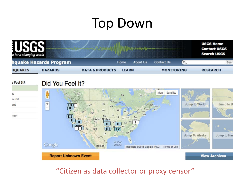# Top Down

| e for a changing world |                        |                            |                 |                   |          | <b>USGS Home</b><br><b>Contact USGS</b><br><b>Search USGS</b> |
|------------------------|------------------------|----------------------------|-----------------|-------------------|----------|---------------------------------------------------------------|
|                        | hquake Hazards Program | Home                       | <b>About Us</b> | <b>Contact Us</b> | $\sigma$ | Sear                                                          |
| <b>HQUAKES</b>         | <b>HAZARDS</b>         | <b>DATA &amp; PRODUCTS</b> | <b>LEARN</b>    | <b>MONITORING</b> |          | <b>RESEARCH</b>                                               |

#### Feel It?

ìS.

ound

ent

ner

#### Did You Feel It?



#### "Citizen as data collector or proxy censor"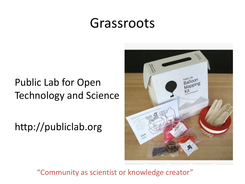### Grassroots

### Public Lab for Open Technology and Science

http://publiclab.org



"Community as scientist or knowledge creator"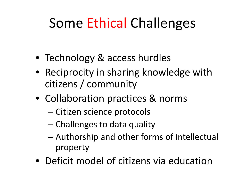# Some Ethical Challenges

- Technology & access hurdles
- Reciprocity in sharing knowledge with citizens / community
- Collaboration practices & norms
	- Citizen science protocols
	- Challenges to data quality
	- Authorship and other forms of intellectual property
- Deficit model of citizens via education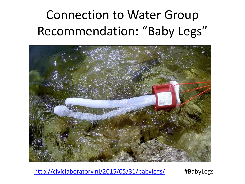### Connection to Water Group Recommendation: "Baby Legs"



<http://civiclaboratory.nl/2015/05/31/babylegs/> #BabyLegs